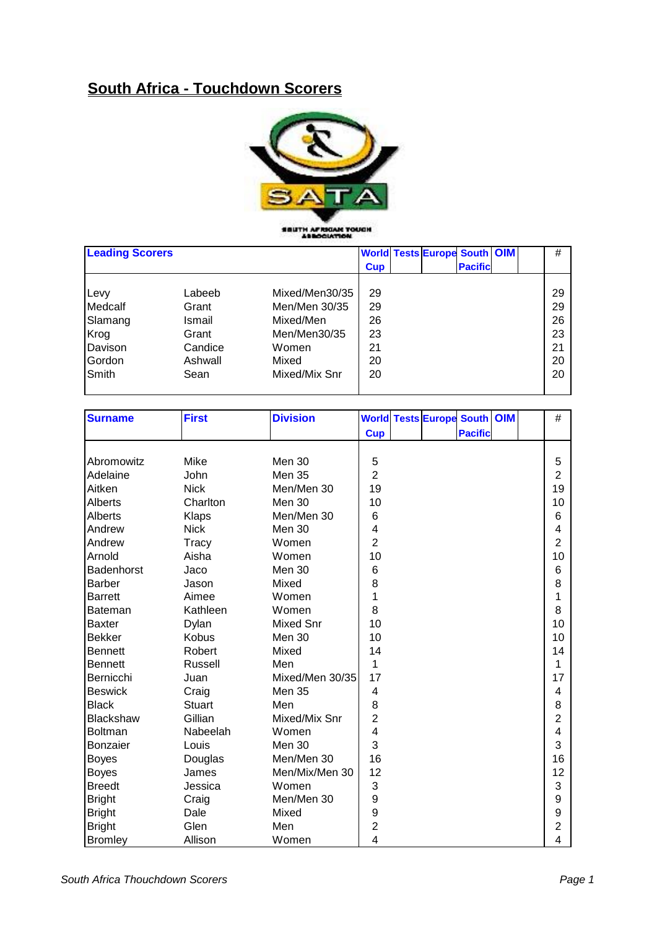## **South Africa - Touchdown Scorers**



SSUTH AFRICAN TOUCH

| <b>Leading Scorers</b> |         |                |            | <b>World Tests Europe South OIM</b> |                |  | #  |
|------------------------|---------|----------------|------------|-------------------------------------|----------------|--|----|
|                        |         |                | <b>Cup</b> |                                     | <b>Pacific</b> |  |    |
|                        |         |                |            |                                     |                |  |    |
| Levy                   | Labeeb  | Mixed/Men30/35 | 29         |                                     |                |  | 29 |
| Medcalf                | Grant   | Men/Men 30/35  | 29         |                                     |                |  | 29 |
| Slamang                | Ismail  | Mixed/Men      | 26         |                                     |                |  | 26 |
| Krog                   | Grant   | Men/Men30/35   | 23         |                                     |                |  | 23 |
| Davison                | Candice | Women          | 21         |                                     |                |  | 21 |
| Gordon                 | Ashwall | Mixed          | 20         |                                     |                |  | 20 |
| Smith                  | Sean    | Mixed/Mix Snr  | 20         |                                     |                |  | 20 |
|                        |         |                |            |                                     |                |  |    |

| <b>Surname</b> | <b>First</b>  | <b>Division</b>  |                  | <b>World Tests Europe South OIM</b> |                | $\#$           |
|----------------|---------------|------------------|------------------|-------------------------------------|----------------|----------------|
|                |               |                  | <b>Cup</b>       |                                     | <b>Pacific</b> |                |
|                |               |                  |                  |                                     |                |                |
| Abromowitz     | Mike          | Men 30           | 5                |                                     |                | 5              |
| Adelaine       | John          | Men 35           | $\overline{2}$   |                                     |                | $\overline{2}$ |
| Aitken         | <b>Nick</b>   | Men/Men 30       | 19               |                                     |                | 19             |
| Alberts        | Charlton      | Men 30           | 10               |                                     |                | 10             |
| Alberts        | Klaps         | Men/Men 30       | 6                |                                     |                | 6              |
| Andrew         | <b>Nick</b>   | <b>Men 30</b>    | 4                |                                     |                | 4              |
| Andrew         | Tracy         | Women            | $\overline{2}$   |                                     |                | $\overline{2}$ |
| Arnold         | Aisha         | Women            | 10               |                                     |                | 10             |
| Badenhorst     | Jaco          | Men 30           | 6                |                                     |                | 6              |
| <b>Barber</b>  | Jason         | Mixed            | 8                |                                     |                | 8              |
| <b>Barrett</b> | Aimee         | Women            | 1                |                                     |                | 1              |
| Bateman        | Kathleen      | Women            | 8                |                                     |                | 8              |
| <b>Baxter</b>  | Dylan         | <b>Mixed Snr</b> | 10               |                                     |                | 10             |
| <b>Bekker</b>  | Kobus         | Men 30           | 10               |                                     |                | 10             |
| <b>Bennett</b> | Robert        | Mixed            | 14               |                                     |                | 14             |
| <b>Bennett</b> | Russell       | Men              | 1                |                                     |                | 1              |
| Bernicchi      | Juan          | Mixed/Men 30/35  | 17               |                                     |                | 17             |
| <b>Beswick</b> | Craig         | Men 35           | 4                |                                     |                | 4              |
| <b>Black</b>   | <b>Stuart</b> | Men              | 8                |                                     |                | 8              |
| Blackshaw      | Gillian       | Mixed/Mix Snr    | 2                |                                     |                | $\overline{2}$ |
| Boltman        | Nabeelah      | Women            | 4                |                                     |                | 4              |
| Bonzaier       | Louis         | Men 30           | 3                |                                     |                | 3              |
| <b>Boyes</b>   | Douglas       | Men/Men 30       | 16               |                                     |                | 16             |
| <b>Boyes</b>   | James         | Men/Mix/Men 30   | 12               |                                     |                | 12             |
| <b>Breedt</b>  | Jessica       | Women            | 3                |                                     |                | 3              |
| <b>Bright</b>  | Craig         | Men/Men 30       | $\boldsymbol{9}$ |                                     |                | 9              |
| <b>Bright</b>  | Dale          | Mixed            | $\boldsymbol{9}$ |                                     |                | 9              |
| <b>Bright</b>  | Glen          | Men              | $\overline{2}$   |                                     |                | 2              |
| <b>Bromley</b> | Allison       | Women            | 4                |                                     |                | 4              |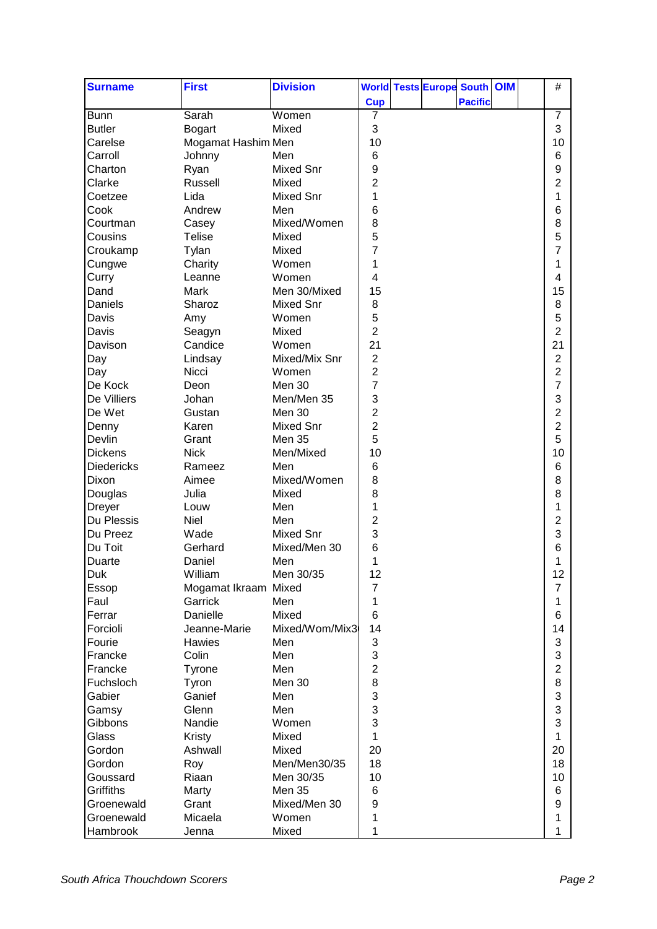| <b>Pacific</b><br><b>Cup</b><br><b>Bunn</b><br>$\overline{7}$<br>Sarah<br>Women<br>7<br>3<br>3<br>Mixed<br><b>Butler</b><br><b>Bogart</b><br>10<br>Carelse<br>Mogamat Hashim Men<br>10<br>6<br>Carroll<br>Johnny<br>6<br>Men<br>$\boldsymbol{9}$<br>9<br>Charton<br>Mixed Snr<br>Ryan<br>$\overline{2}$<br>$\overline{2}$<br>Clarke<br>Russell<br>Mixed<br>1<br>1<br>Coetzee<br>Lida<br>Mixed Snr<br>6<br>6<br>Cook<br>Andrew<br>Men<br>8<br>8<br>Courtman<br>Mixed/Women<br>Casey<br>5<br>5<br>Cousins<br><b>Telise</b><br>Mixed<br>$\overline{7}$<br>7<br>Croukamp<br>Tylan<br>Mixed<br>Charity<br>Women<br>1<br>1<br>Cungwe<br>4<br>Women<br>4<br>Curry<br>Leanne<br>Men 30/Mixed<br>15<br>15<br>Dand<br>Mark<br>8<br>Daniels<br>Sharoz<br>Mixed Snr<br>8<br>5<br>5<br>Davis<br>Women<br>Amy<br>$\overline{2}$<br>$\overline{2}$<br>Davis<br>Mixed<br>Seagyn<br>21<br>21<br>Candice<br>Women<br>Davison<br>$\overline{c}$<br>Mixed/Mix Snr<br>2<br>Day<br>Lindsay<br>$\overline{c}$<br>2<br>Day<br>Nicci<br>Women<br>$\overline{7}$<br>7<br>De Kock<br><b>Men 30</b><br>Deon<br>3<br>3<br><b>De Villiers</b><br>Men/Men 35<br>Johan<br>$\overline{\mathbf{c}}$<br>2<br>De Wet<br>Men 30<br>Gustan<br>$\overline{c}$<br>2<br><b>Mixed Snr</b><br>Denny<br>Karen<br>5<br>Devlin<br>5<br><b>Men 35</b><br>Grant<br>10<br><b>Dickens</b><br><b>Nick</b><br>Men/Mixed<br>10<br>6<br>$6\phantom{1}6$<br><b>Diedericks</b><br>Men<br>Rameez<br>8<br>Mixed/Women<br>8<br>Dixon<br>Aimee<br>8<br>8<br>Douglas<br>Julia<br>Mixed<br>1<br>1<br>Men<br><b>Dreyer</b><br>Louw<br>$\overline{c}$<br>2<br>Du Plessis<br><b>Niel</b><br>Men<br>3<br>3<br>Du Preez<br><b>Mixed Snr</b><br>Wade<br>6<br>Du Toit<br>Mixed/Men 30<br>6<br>Gerhard<br>1<br>Daniel<br>1<br>Duarte<br>Men<br>Men 30/35<br>William<br>12<br>12<br>Duk<br>7<br>$\overline{7}$<br>Essop<br>Mogamat Ikraam Mixed<br>Garrick<br>Faul<br>Men<br>1<br>1<br>Mixed<br>6<br>Danielle<br>6<br>Ferrar<br>Mixed/Wom/Mix3<br>14<br>Forcioli<br>Jeanne-Marie<br>14<br>3<br>3<br>Fourie<br>Men<br>Hawies<br>3<br>3<br>Francke<br>Colin<br>Men<br>$\overline{2}$<br>$\overline{2}$<br>Francke<br>Men<br>Tyrone<br>Men 30<br>8<br>Fuchsloch<br>Tyron<br>8<br>3<br>3<br>Gabier<br>Ganief<br>Men<br>3<br>Glenn<br>3<br>Men<br>Gamsy<br>3<br>3<br>Gibbons<br>Nandie<br>Women<br>Glass<br>Mixed<br>Kristy<br>1<br>1<br>20<br>20<br>Gordon<br>Ashwall<br>Mixed<br>18<br>Men/Men30/35<br>18<br>Gordon<br>Roy<br>Riaan<br>10<br>Men 30/35<br>10<br>Goussard<br>Griffiths<br>Men 35<br>6<br>6<br>Marty<br>9<br>Groenewald<br>Grant<br>Mixed/Men 30<br>9<br>Groenewald<br>Micaela<br>Women<br>1<br>1 | <b>Surname</b> | <b>First</b> | <b>Division</b> |   | <b>World Tests Europe South OIM</b> |  | # |  |
|---------------------------------------------------------------------------------------------------------------------------------------------------------------------------------------------------------------------------------------------------------------------------------------------------------------------------------------------------------------------------------------------------------------------------------------------------------------------------------------------------------------------------------------------------------------------------------------------------------------------------------------------------------------------------------------------------------------------------------------------------------------------------------------------------------------------------------------------------------------------------------------------------------------------------------------------------------------------------------------------------------------------------------------------------------------------------------------------------------------------------------------------------------------------------------------------------------------------------------------------------------------------------------------------------------------------------------------------------------------------------------------------------------------------------------------------------------------------------------------------------------------------------------------------------------------------------------------------------------------------------------------------------------------------------------------------------------------------------------------------------------------------------------------------------------------------------------------------------------------------------------------------------------------------------------------------------------------------------------------------------------------------------------------------------------------------------------------------------------------------------------------------------------------------------------------------------------------------------------------------------------------------------------------------------------------------------------------------------------------------------------------------------------------------------------------------------------------------------------------------------------------------------------------------------------------------------------------------------------------------------------------|----------------|--------------|-----------------|---|-------------------------------------|--|---|--|
|                                                                                                                                                                                                                                                                                                                                                                                                                                                                                                                                                                                                                                                                                                                                                                                                                                                                                                                                                                                                                                                                                                                                                                                                                                                                                                                                                                                                                                                                                                                                                                                                                                                                                                                                                                                                                                                                                                                                                                                                                                                                                                                                                                                                                                                                                                                                                                                                                                                                                                                                                                                                                                       |                |              |                 |   |                                     |  |   |  |
|                                                                                                                                                                                                                                                                                                                                                                                                                                                                                                                                                                                                                                                                                                                                                                                                                                                                                                                                                                                                                                                                                                                                                                                                                                                                                                                                                                                                                                                                                                                                                                                                                                                                                                                                                                                                                                                                                                                                                                                                                                                                                                                                                                                                                                                                                                                                                                                                                                                                                                                                                                                                                                       |                |              |                 |   |                                     |  |   |  |
|                                                                                                                                                                                                                                                                                                                                                                                                                                                                                                                                                                                                                                                                                                                                                                                                                                                                                                                                                                                                                                                                                                                                                                                                                                                                                                                                                                                                                                                                                                                                                                                                                                                                                                                                                                                                                                                                                                                                                                                                                                                                                                                                                                                                                                                                                                                                                                                                                                                                                                                                                                                                                                       |                |              |                 |   |                                     |  |   |  |
|                                                                                                                                                                                                                                                                                                                                                                                                                                                                                                                                                                                                                                                                                                                                                                                                                                                                                                                                                                                                                                                                                                                                                                                                                                                                                                                                                                                                                                                                                                                                                                                                                                                                                                                                                                                                                                                                                                                                                                                                                                                                                                                                                                                                                                                                                                                                                                                                                                                                                                                                                                                                                                       |                |              |                 |   |                                     |  |   |  |
|                                                                                                                                                                                                                                                                                                                                                                                                                                                                                                                                                                                                                                                                                                                                                                                                                                                                                                                                                                                                                                                                                                                                                                                                                                                                                                                                                                                                                                                                                                                                                                                                                                                                                                                                                                                                                                                                                                                                                                                                                                                                                                                                                                                                                                                                                                                                                                                                                                                                                                                                                                                                                                       |                |              |                 |   |                                     |  |   |  |
|                                                                                                                                                                                                                                                                                                                                                                                                                                                                                                                                                                                                                                                                                                                                                                                                                                                                                                                                                                                                                                                                                                                                                                                                                                                                                                                                                                                                                                                                                                                                                                                                                                                                                                                                                                                                                                                                                                                                                                                                                                                                                                                                                                                                                                                                                                                                                                                                                                                                                                                                                                                                                                       |                |              |                 |   |                                     |  |   |  |
|                                                                                                                                                                                                                                                                                                                                                                                                                                                                                                                                                                                                                                                                                                                                                                                                                                                                                                                                                                                                                                                                                                                                                                                                                                                                                                                                                                                                                                                                                                                                                                                                                                                                                                                                                                                                                                                                                                                                                                                                                                                                                                                                                                                                                                                                                                                                                                                                                                                                                                                                                                                                                                       |                |              |                 |   |                                     |  |   |  |
|                                                                                                                                                                                                                                                                                                                                                                                                                                                                                                                                                                                                                                                                                                                                                                                                                                                                                                                                                                                                                                                                                                                                                                                                                                                                                                                                                                                                                                                                                                                                                                                                                                                                                                                                                                                                                                                                                                                                                                                                                                                                                                                                                                                                                                                                                                                                                                                                                                                                                                                                                                                                                                       |                |              |                 |   |                                     |  |   |  |
|                                                                                                                                                                                                                                                                                                                                                                                                                                                                                                                                                                                                                                                                                                                                                                                                                                                                                                                                                                                                                                                                                                                                                                                                                                                                                                                                                                                                                                                                                                                                                                                                                                                                                                                                                                                                                                                                                                                                                                                                                                                                                                                                                                                                                                                                                                                                                                                                                                                                                                                                                                                                                                       |                |              |                 |   |                                     |  |   |  |
|                                                                                                                                                                                                                                                                                                                                                                                                                                                                                                                                                                                                                                                                                                                                                                                                                                                                                                                                                                                                                                                                                                                                                                                                                                                                                                                                                                                                                                                                                                                                                                                                                                                                                                                                                                                                                                                                                                                                                                                                                                                                                                                                                                                                                                                                                                                                                                                                                                                                                                                                                                                                                                       |                |              |                 |   |                                     |  |   |  |
|                                                                                                                                                                                                                                                                                                                                                                                                                                                                                                                                                                                                                                                                                                                                                                                                                                                                                                                                                                                                                                                                                                                                                                                                                                                                                                                                                                                                                                                                                                                                                                                                                                                                                                                                                                                                                                                                                                                                                                                                                                                                                                                                                                                                                                                                                                                                                                                                                                                                                                                                                                                                                                       |                |              |                 |   |                                     |  |   |  |
|                                                                                                                                                                                                                                                                                                                                                                                                                                                                                                                                                                                                                                                                                                                                                                                                                                                                                                                                                                                                                                                                                                                                                                                                                                                                                                                                                                                                                                                                                                                                                                                                                                                                                                                                                                                                                                                                                                                                                                                                                                                                                                                                                                                                                                                                                                                                                                                                                                                                                                                                                                                                                                       |                |              |                 |   |                                     |  |   |  |
|                                                                                                                                                                                                                                                                                                                                                                                                                                                                                                                                                                                                                                                                                                                                                                                                                                                                                                                                                                                                                                                                                                                                                                                                                                                                                                                                                                                                                                                                                                                                                                                                                                                                                                                                                                                                                                                                                                                                                                                                                                                                                                                                                                                                                                                                                                                                                                                                                                                                                                                                                                                                                                       |                |              |                 |   |                                     |  |   |  |
|                                                                                                                                                                                                                                                                                                                                                                                                                                                                                                                                                                                                                                                                                                                                                                                                                                                                                                                                                                                                                                                                                                                                                                                                                                                                                                                                                                                                                                                                                                                                                                                                                                                                                                                                                                                                                                                                                                                                                                                                                                                                                                                                                                                                                                                                                                                                                                                                                                                                                                                                                                                                                                       |                |              |                 |   |                                     |  |   |  |
|                                                                                                                                                                                                                                                                                                                                                                                                                                                                                                                                                                                                                                                                                                                                                                                                                                                                                                                                                                                                                                                                                                                                                                                                                                                                                                                                                                                                                                                                                                                                                                                                                                                                                                                                                                                                                                                                                                                                                                                                                                                                                                                                                                                                                                                                                                                                                                                                                                                                                                                                                                                                                                       |                |              |                 |   |                                     |  |   |  |
|                                                                                                                                                                                                                                                                                                                                                                                                                                                                                                                                                                                                                                                                                                                                                                                                                                                                                                                                                                                                                                                                                                                                                                                                                                                                                                                                                                                                                                                                                                                                                                                                                                                                                                                                                                                                                                                                                                                                                                                                                                                                                                                                                                                                                                                                                                                                                                                                                                                                                                                                                                                                                                       |                |              |                 |   |                                     |  |   |  |
|                                                                                                                                                                                                                                                                                                                                                                                                                                                                                                                                                                                                                                                                                                                                                                                                                                                                                                                                                                                                                                                                                                                                                                                                                                                                                                                                                                                                                                                                                                                                                                                                                                                                                                                                                                                                                                                                                                                                                                                                                                                                                                                                                                                                                                                                                                                                                                                                                                                                                                                                                                                                                                       |                |              |                 |   |                                     |  |   |  |
|                                                                                                                                                                                                                                                                                                                                                                                                                                                                                                                                                                                                                                                                                                                                                                                                                                                                                                                                                                                                                                                                                                                                                                                                                                                                                                                                                                                                                                                                                                                                                                                                                                                                                                                                                                                                                                                                                                                                                                                                                                                                                                                                                                                                                                                                                                                                                                                                                                                                                                                                                                                                                                       |                |              |                 |   |                                     |  |   |  |
|                                                                                                                                                                                                                                                                                                                                                                                                                                                                                                                                                                                                                                                                                                                                                                                                                                                                                                                                                                                                                                                                                                                                                                                                                                                                                                                                                                                                                                                                                                                                                                                                                                                                                                                                                                                                                                                                                                                                                                                                                                                                                                                                                                                                                                                                                                                                                                                                                                                                                                                                                                                                                                       |                |              |                 |   |                                     |  |   |  |
|                                                                                                                                                                                                                                                                                                                                                                                                                                                                                                                                                                                                                                                                                                                                                                                                                                                                                                                                                                                                                                                                                                                                                                                                                                                                                                                                                                                                                                                                                                                                                                                                                                                                                                                                                                                                                                                                                                                                                                                                                                                                                                                                                                                                                                                                                                                                                                                                                                                                                                                                                                                                                                       |                |              |                 |   |                                     |  |   |  |
|                                                                                                                                                                                                                                                                                                                                                                                                                                                                                                                                                                                                                                                                                                                                                                                                                                                                                                                                                                                                                                                                                                                                                                                                                                                                                                                                                                                                                                                                                                                                                                                                                                                                                                                                                                                                                                                                                                                                                                                                                                                                                                                                                                                                                                                                                                                                                                                                                                                                                                                                                                                                                                       |                |              |                 |   |                                     |  |   |  |
|                                                                                                                                                                                                                                                                                                                                                                                                                                                                                                                                                                                                                                                                                                                                                                                                                                                                                                                                                                                                                                                                                                                                                                                                                                                                                                                                                                                                                                                                                                                                                                                                                                                                                                                                                                                                                                                                                                                                                                                                                                                                                                                                                                                                                                                                                                                                                                                                                                                                                                                                                                                                                                       |                |              |                 |   |                                     |  |   |  |
|                                                                                                                                                                                                                                                                                                                                                                                                                                                                                                                                                                                                                                                                                                                                                                                                                                                                                                                                                                                                                                                                                                                                                                                                                                                                                                                                                                                                                                                                                                                                                                                                                                                                                                                                                                                                                                                                                                                                                                                                                                                                                                                                                                                                                                                                                                                                                                                                                                                                                                                                                                                                                                       |                |              |                 |   |                                     |  |   |  |
|                                                                                                                                                                                                                                                                                                                                                                                                                                                                                                                                                                                                                                                                                                                                                                                                                                                                                                                                                                                                                                                                                                                                                                                                                                                                                                                                                                                                                                                                                                                                                                                                                                                                                                                                                                                                                                                                                                                                                                                                                                                                                                                                                                                                                                                                                                                                                                                                                                                                                                                                                                                                                                       |                |              |                 |   |                                     |  |   |  |
|                                                                                                                                                                                                                                                                                                                                                                                                                                                                                                                                                                                                                                                                                                                                                                                                                                                                                                                                                                                                                                                                                                                                                                                                                                                                                                                                                                                                                                                                                                                                                                                                                                                                                                                                                                                                                                                                                                                                                                                                                                                                                                                                                                                                                                                                                                                                                                                                                                                                                                                                                                                                                                       |                |              |                 |   |                                     |  |   |  |
|                                                                                                                                                                                                                                                                                                                                                                                                                                                                                                                                                                                                                                                                                                                                                                                                                                                                                                                                                                                                                                                                                                                                                                                                                                                                                                                                                                                                                                                                                                                                                                                                                                                                                                                                                                                                                                                                                                                                                                                                                                                                                                                                                                                                                                                                                                                                                                                                                                                                                                                                                                                                                                       |                |              |                 |   |                                     |  |   |  |
|                                                                                                                                                                                                                                                                                                                                                                                                                                                                                                                                                                                                                                                                                                                                                                                                                                                                                                                                                                                                                                                                                                                                                                                                                                                                                                                                                                                                                                                                                                                                                                                                                                                                                                                                                                                                                                                                                                                                                                                                                                                                                                                                                                                                                                                                                                                                                                                                                                                                                                                                                                                                                                       |                |              |                 |   |                                     |  |   |  |
|                                                                                                                                                                                                                                                                                                                                                                                                                                                                                                                                                                                                                                                                                                                                                                                                                                                                                                                                                                                                                                                                                                                                                                                                                                                                                                                                                                                                                                                                                                                                                                                                                                                                                                                                                                                                                                                                                                                                                                                                                                                                                                                                                                                                                                                                                                                                                                                                                                                                                                                                                                                                                                       |                |              |                 |   |                                     |  |   |  |
|                                                                                                                                                                                                                                                                                                                                                                                                                                                                                                                                                                                                                                                                                                                                                                                                                                                                                                                                                                                                                                                                                                                                                                                                                                                                                                                                                                                                                                                                                                                                                                                                                                                                                                                                                                                                                                                                                                                                                                                                                                                                                                                                                                                                                                                                                                                                                                                                                                                                                                                                                                                                                                       |                |              |                 |   |                                     |  |   |  |
|                                                                                                                                                                                                                                                                                                                                                                                                                                                                                                                                                                                                                                                                                                                                                                                                                                                                                                                                                                                                                                                                                                                                                                                                                                                                                                                                                                                                                                                                                                                                                                                                                                                                                                                                                                                                                                                                                                                                                                                                                                                                                                                                                                                                                                                                                                                                                                                                                                                                                                                                                                                                                                       |                |              |                 |   |                                     |  |   |  |
|                                                                                                                                                                                                                                                                                                                                                                                                                                                                                                                                                                                                                                                                                                                                                                                                                                                                                                                                                                                                                                                                                                                                                                                                                                                                                                                                                                                                                                                                                                                                                                                                                                                                                                                                                                                                                                                                                                                                                                                                                                                                                                                                                                                                                                                                                                                                                                                                                                                                                                                                                                                                                                       |                |              |                 |   |                                     |  |   |  |
|                                                                                                                                                                                                                                                                                                                                                                                                                                                                                                                                                                                                                                                                                                                                                                                                                                                                                                                                                                                                                                                                                                                                                                                                                                                                                                                                                                                                                                                                                                                                                                                                                                                                                                                                                                                                                                                                                                                                                                                                                                                                                                                                                                                                                                                                                                                                                                                                                                                                                                                                                                                                                                       |                |              |                 |   |                                     |  |   |  |
|                                                                                                                                                                                                                                                                                                                                                                                                                                                                                                                                                                                                                                                                                                                                                                                                                                                                                                                                                                                                                                                                                                                                                                                                                                                                                                                                                                                                                                                                                                                                                                                                                                                                                                                                                                                                                                                                                                                                                                                                                                                                                                                                                                                                                                                                                                                                                                                                                                                                                                                                                                                                                                       |                |              |                 |   |                                     |  |   |  |
|                                                                                                                                                                                                                                                                                                                                                                                                                                                                                                                                                                                                                                                                                                                                                                                                                                                                                                                                                                                                                                                                                                                                                                                                                                                                                                                                                                                                                                                                                                                                                                                                                                                                                                                                                                                                                                                                                                                                                                                                                                                                                                                                                                                                                                                                                                                                                                                                                                                                                                                                                                                                                                       |                |              |                 |   |                                     |  |   |  |
|                                                                                                                                                                                                                                                                                                                                                                                                                                                                                                                                                                                                                                                                                                                                                                                                                                                                                                                                                                                                                                                                                                                                                                                                                                                                                                                                                                                                                                                                                                                                                                                                                                                                                                                                                                                                                                                                                                                                                                                                                                                                                                                                                                                                                                                                                                                                                                                                                                                                                                                                                                                                                                       |                |              |                 |   |                                     |  |   |  |
|                                                                                                                                                                                                                                                                                                                                                                                                                                                                                                                                                                                                                                                                                                                                                                                                                                                                                                                                                                                                                                                                                                                                                                                                                                                                                                                                                                                                                                                                                                                                                                                                                                                                                                                                                                                                                                                                                                                                                                                                                                                                                                                                                                                                                                                                                                                                                                                                                                                                                                                                                                                                                                       |                |              |                 |   |                                     |  |   |  |
|                                                                                                                                                                                                                                                                                                                                                                                                                                                                                                                                                                                                                                                                                                                                                                                                                                                                                                                                                                                                                                                                                                                                                                                                                                                                                                                                                                                                                                                                                                                                                                                                                                                                                                                                                                                                                                                                                                                                                                                                                                                                                                                                                                                                                                                                                                                                                                                                                                                                                                                                                                                                                                       |                |              |                 |   |                                     |  |   |  |
|                                                                                                                                                                                                                                                                                                                                                                                                                                                                                                                                                                                                                                                                                                                                                                                                                                                                                                                                                                                                                                                                                                                                                                                                                                                                                                                                                                                                                                                                                                                                                                                                                                                                                                                                                                                                                                                                                                                                                                                                                                                                                                                                                                                                                                                                                                                                                                                                                                                                                                                                                                                                                                       |                |              |                 |   |                                     |  |   |  |
|                                                                                                                                                                                                                                                                                                                                                                                                                                                                                                                                                                                                                                                                                                                                                                                                                                                                                                                                                                                                                                                                                                                                                                                                                                                                                                                                                                                                                                                                                                                                                                                                                                                                                                                                                                                                                                                                                                                                                                                                                                                                                                                                                                                                                                                                                                                                                                                                                                                                                                                                                                                                                                       |                |              |                 |   |                                     |  |   |  |
|                                                                                                                                                                                                                                                                                                                                                                                                                                                                                                                                                                                                                                                                                                                                                                                                                                                                                                                                                                                                                                                                                                                                                                                                                                                                                                                                                                                                                                                                                                                                                                                                                                                                                                                                                                                                                                                                                                                                                                                                                                                                                                                                                                                                                                                                                                                                                                                                                                                                                                                                                                                                                                       |                |              |                 |   |                                     |  |   |  |
|                                                                                                                                                                                                                                                                                                                                                                                                                                                                                                                                                                                                                                                                                                                                                                                                                                                                                                                                                                                                                                                                                                                                                                                                                                                                                                                                                                                                                                                                                                                                                                                                                                                                                                                                                                                                                                                                                                                                                                                                                                                                                                                                                                                                                                                                                                                                                                                                                                                                                                                                                                                                                                       |                |              |                 |   |                                     |  |   |  |
|                                                                                                                                                                                                                                                                                                                                                                                                                                                                                                                                                                                                                                                                                                                                                                                                                                                                                                                                                                                                                                                                                                                                                                                                                                                                                                                                                                                                                                                                                                                                                                                                                                                                                                                                                                                                                                                                                                                                                                                                                                                                                                                                                                                                                                                                                                                                                                                                                                                                                                                                                                                                                                       |                |              |                 |   |                                     |  |   |  |
|                                                                                                                                                                                                                                                                                                                                                                                                                                                                                                                                                                                                                                                                                                                                                                                                                                                                                                                                                                                                                                                                                                                                                                                                                                                                                                                                                                                                                                                                                                                                                                                                                                                                                                                                                                                                                                                                                                                                                                                                                                                                                                                                                                                                                                                                                                                                                                                                                                                                                                                                                                                                                                       |                |              |                 |   |                                     |  |   |  |
|                                                                                                                                                                                                                                                                                                                                                                                                                                                                                                                                                                                                                                                                                                                                                                                                                                                                                                                                                                                                                                                                                                                                                                                                                                                                                                                                                                                                                                                                                                                                                                                                                                                                                                                                                                                                                                                                                                                                                                                                                                                                                                                                                                                                                                                                                                                                                                                                                                                                                                                                                                                                                                       |                |              |                 |   |                                     |  |   |  |
|                                                                                                                                                                                                                                                                                                                                                                                                                                                                                                                                                                                                                                                                                                                                                                                                                                                                                                                                                                                                                                                                                                                                                                                                                                                                                                                                                                                                                                                                                                                                                                                                                                                                                                                                                                                                                                                                                                                                                                                                                                                                                                                                                                                                                                                                                                                                                                                                                                                                                                                                                                                                                                       |                |              |                 |   |                                     |  |   |  |
|                                                                                                                                                                                                                                                                                                                                                                                                                                                                                                                                                                                                                                                                                                                                                                                                                                                                                                                                                                                                                                                                                                                                                                                                                                                                                                                                                                                                                                                                                                                                                                                                                                                                                                                                                                                                                                                                                                                                                                                                                                                                                                                                                                                                                                                                                                                                                                                                                                                                                                                                                                                                                                       |                |              |                 |   |                                     |  |   |  |
|                                                                                                                                                                                                                                                                                                                                                                                                                                                                                                                                                                                                                                                                                                                                                                                                                                                                                                                                                                                                                                                                                                                                                                                                                                                                                                                                                                                                                                                                                                                                                                                                                                                                                                                                                                                                                                                                                                                                                                                                                                                                                                                                                                                                                                                                                                                                                                                                                                                                                                                                                                                                                                       |                |              |                 |   |                                     |  |   |  |
|                                                                                                                                                                                                                                                                                                                                                                                                                                                                                                                                                                                                                                                                                                                                                                                                                                                                                                                                                                                                                                                                                                                                                                                                                                                                                                                                                                                                                                                                                                                                                                                                                                                                                                                                                                                                                                                                                                                                                                                                                                                                                                                                                                                                                                                                                                                                                                                                                                                                                                                                                                                                                                       |                |              |                 |   |                                     |  |   |  |
|                                                                                                                                                                                                                                                                                                                                                                                                                                                                                                                                                                                                                                                                                                                                                                                                                                                                                                                                                                                                                                                                                                                                                                                                                                                                                                                                                                                                                                                                                                                                                                                                                                                                                                                                                                                                                                                                                                                                                                                                                                                                                                                                                                                                                                                                                                                                                                                                                                                                                                                                                                                                                                       |                |              |                 |   |                                     |  |   |  |
|                                                                                                                                                                                                                                                                                                                                                                                                                                                                                                                                                                                                                                                                                                                                                                                                                                                                                                                                                                                                                                                                                                                                                                                                                                                                                                                                                                                                                                                                                                                                                                                                                                                                                                                                                                                                                                                                                                                                                                                                                                                                                                                                                                                                                                                                                                                                                                                                                                                                                                                                                                                                                                       |                |              |                 |   |                                     |  |   |  |
|                                                                                                                                                                                                                                                                                                                                                                                                                                                                                                                                                                                                                                                                                                                                                                                                                                                                                                                                                                                                                                                                                                                                                                                                                                                                                                                                                                                                                                                                                                                                                                                                                                                                                                                                                                                                                                                                                                                                                                                                                                                                                                                                                                                                                                                                                                                                                                                                                                                                                                                                                                                                                                       |                |              |                 |   |                                     |  |   |  |
|                                                                                                                                                                                                                                                                                                                                                                                                                                                                                                                                                                                                                                                                                                                                                                                                                                                                                                                                                                                                                                                                                                                                                                                                                                                                                                                                                                                                                                                                                                                                                                                                                                                                                                                                                                                                                                                                                                                                                                                                                                                                                                                                                                                                                                                                                                                                                                                                                                                                                                                                                                                                                                       |                |              |                 |   |                                     |  |   |  |
|                                                                                                                                                                                                                                                                                                                                                                                                                                                                                                                                                                                                                                                                                                                                                                                                                                                                                                                                                                                                                                                                                                                                                                                                                                                                                                                                                                                                                                                                                                                                                                                                                                                                                                                                                                                                                                                                                                                                                                                                                                                                                                                                                                                                                                                                                                                                                                                                                                                                                                                                                                                                                                       |                |              |                 |   |                                     |  |   |  |
|                                                                                                                                                                                                                                                                                                                                                                                                                                                                                                                                                                                                                                                                                                                                                                                                                                                                                                                                                                                                                                                                                                                                                                                                                                                                                                                                                                                                                                                                                                                                                                                                                                                                                                                                                                                                                                                                                                                                                                                                                                                                                                                                                                                                                                                                                                                                                                                                                                                                                                                                                                                                                                       |                |              |                 |   |                                     |  |   |  |
|                                                                                                                                                                                                                                                                                                                                                                                                                                                                                                                                                                                                                                                                                                                                                                                                                                                                                                                                                                                                                                                                                                                                                                                                                                                                                                                                                                                                                                                                                                                                                                                                                                                                                                                                                                                                                                                                                                                                                                                                                                                                                                                                                                                                                                                                                                                                                                                                                                                                                                                                                                                                                                       | Hambrook       | Jenna        | Mixed           | 1 |                                     |  | 1 |  |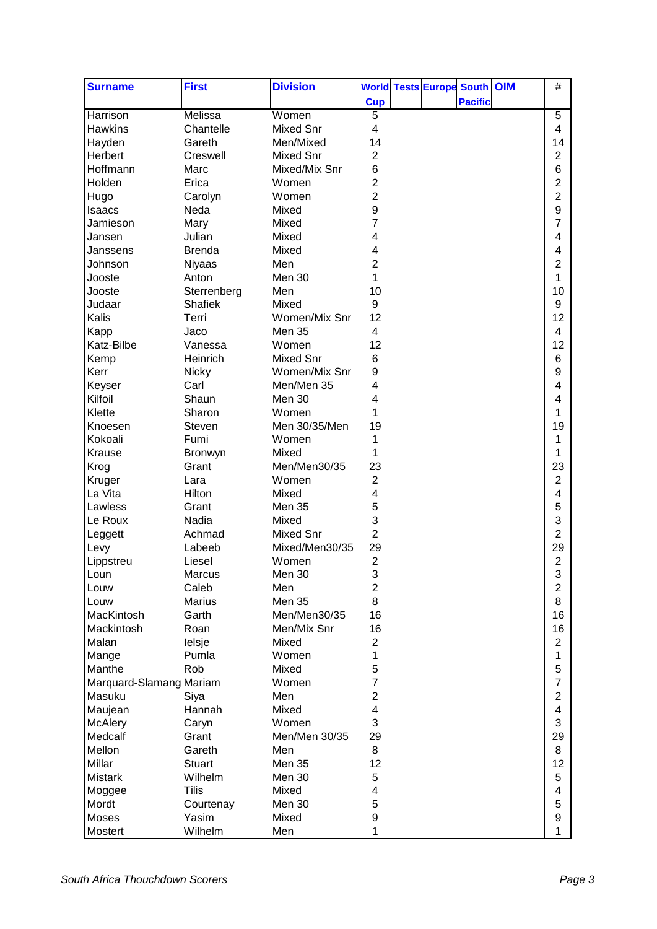| <b>Surname</b>          | <b>First</b>  | <b>Division</b>  |                  | <b>World Tests Europe South OIM</b> |                |  | $\#$           |  |
|-------------------------|---------------|------------------|------------------|-------------------------------------|----------------|--|----------------|--|
|                         |               |                  | <b>Cup</b>       |                                     | <b>Pacific</b> |  |                |  |
| Harrison                | Melissa       | Women            | $\overline{5}$   |                                     |                |  | $\overline{5}$ |  |
| <b>Hawkins</b>          | Chantelle     | <b>Mixed Snr</b> | 4                |                                     |                |  | 4              |  |
| Hayden                  | Gareth        | Men/Mixed        | 14               |                                     |                |  | 14             |  |
| Herbert                 | Creswell      | <b>Mixed Snr</b> | $\overline{2}$   |                                     |                |  | $\overline{2}$ |  |
| Hoffmann                | Marc          | Mixed/Mix Snr    | 6                |                                     |                |  | 6              |  |
| Holden                  | Erica         | Women            | $\overline{2}$   |                                     |                |  | $\overline{2}$ |  |
| Hugo                    | Carolyn       | Women            | $\overline{2}$   |                                     |                |  | $\overline{2}$ |  |
|                         | Neda          | Mixed            | $\boldsymbol{9}$ |                                     |                |  | 9              |  |
| Isaacs                  |               |                  | 7                |                                     |                |  | 7              |  |
| Jamieson                | Mary          | Mixed            |                  |                                     |                |  |                |  |
| Jansen                  | Julian        | Mixed            | 4                |                                     |                |  | 4              |  |
| Janssens                | <b>Brenda</b> | Mixed            | 4                |                                     |                |  | 4              |  |
| Johnson                 | Niyaas        | Men              | $\overline{2}$   |                                     |                |  | 2              |  |
| Jooste                  | Anton         | Men 30           | 1                |                                     |                |  | 1              |  |
| Jooste                  | Sterrenberg   | Men              | 10               |                                     |                |  | 10             |  |
| Judaar                  | Shafiek       | Mixed            | 9                |                                     |                |  | 9              |  |
| Kalis                   | Terri         | Women/Mix Snr    | 12               |                                     |                |  | 12             |  |
| Kapp                    | Jaco          | Men 35           | 4                |                                     |                |  | 4              |  |
| Katz-Bilbe              | Vanessa       | Women            | 12               |                                     |                |  | 12             |  |
| Kemp                    | Heinrich      | <b>Mixed Snr</b> | 6                |                                     |                |  | 6              |  |
| Kerr                    | <b>Nicky</b>  | Women/Mix Snr    | $\boldsymbol{9}$ |                                     |                |  | 9              |  |
| Keyser                  | Carl          | Men/Men 35       | 4                |                                     |                |  | 4              |  |
| Kilfoil                 | Shaun         | Men 30           | 4                |                                     |                |  | 4              |  |
| Klette                  | Sharon        | Women            | 1                |                                     |                |  | 1              |  |
| Knoesen                 | Steven        | Men 30/35/Men    | 19               |                                     |                |  | 19             |  |
| Kokoali                 | Fumi          | Women            | 1                |                                     |                |  | 1              |  |
| Krause                  | Bronwyn       | Mixed            | 1                |                                     |                |  | 1              |  |
| Krog                    | Grant         | Men/Men30/35     | 23               |                                     |                |  | 23             |  |
| Kruger                  | Lara          | Women            | $\overline{2}$   |                                     |                |  | $\overline{2}$ |  |
| La Vita                 | Hilton        | Mixed            | 4                |                                     |                |  | 4              |  |
| Lawless                 | Grant         | Men 35           | 5                |                                     |                |  | 5              |  |
|                         | Nadia         | Mixed            | 3                |                                     |                |  | 3              |  |
| Le Roux                 |               | <b>Mixed Snr</b> | $\overline{2}$   |                                     |                |  | $\overline{2}$ |  |
| Leggett                 | Achmad        |                  |                  |                                     |                |  |                |  |
| Levy                    | Labeeb        | Mixed/Men30/35   | 29               |                                     |                |  | 29             |  |
| Lippstreu               | Liesel        | Women            | $\overline{2}$   |                                     |                |  | $\overline{2}$ |  |
| Loun                    | Marcus        | Men 30           | 3                |                                     |                |  | 3              |  |
| Louw                    | Caleb         | Men              | $\overline{c}$   |                                     |                |  | $\overline{2}$ |  |
| Louw                    | <b>Marius</b> | Men 35           | 8                |                                     |                |  | 8              |  |
| MacKintosh              | Garth         | Men/Men30/35     | 16               |                                     |                |  | 16             |  |
| Mackintosh              | Roan          | Men/Mix Snr      | 16               |                                     |                |  | 16             |  |
| Malan                   | lelsje        | Mixed            | $\overline{2}$   |                                     |                |  | $\overline{2}$ |  |
| Mange                   | Pumla         | Women            | 1                |                                     |                |  | 1              |  |
| Manthe                  | Rob           | Mixed            | 5                |                                     |                |  | 5              |  |
| Marquard-Slamang Mariam |               | Women            | 7                |                                     |                |  | $\overline{7}$ |  |
| Masuku                  | Siya          | Men              | $\overline{2}$   |                                     |                |  | $\overline{2}$ |  |
| Maujean                 | Hannah        | Mixed            | 4                |                                     |                |  | 4              |  |
| <b>McAlery</b>          | Caryn         | Women            | 3                |                                     |                |  | 3              |  |
| Medcalf                 | Grant         | Men/Men 30/35    | 29               |                                     |                |  | 29             |  |
| Mellon                  | Gareth        | Men              | 8                |                                     |                |  | 8              |  |
| Millar                  | <b>Stuart</b> | Men 35           | 12               |                                     |                |  | 12             |  |
| <b>Mistark</b>          | Wilhelm       | Men 30           | 5                |                                     |                |  | 5              |  |
| Moggee                  | <b>Tilis</b>  | Mixed            | 4                |                                     |                |  | 4              |  |
| Mordt                   | Courtenay     | Men 30           | 5                |                                     |                |  | 5              |  |
| Moses                   | Yasim         | Mixed            | $\boldsymbol{9}$ |                                     |                |  | 9              |  |
|                         |               |                  |                  |                                     |                |  |                |  |
| Mostert                 | Wilhelm       | Men              | 1                |                                     |                |  | 1              |  |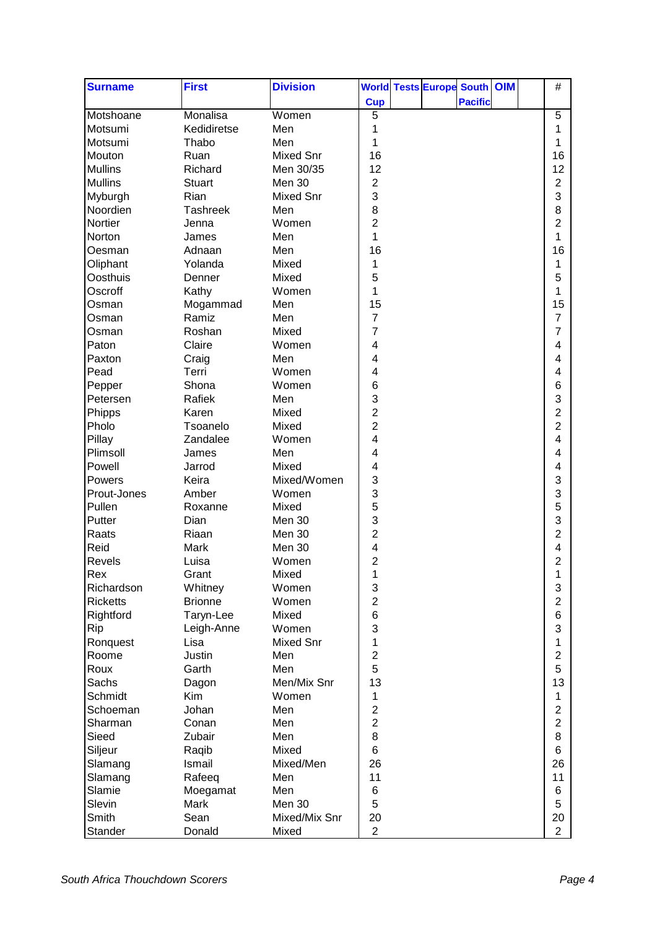| <b>Surname</b>    | <b>First</b>              | <b>Division</b>  | <b>World Tests Europe South OIM</b> | $\#$                |
|-------------------|---------------------------|------------------|-------------------------------------|---------------------|
|                   |                           |                  | <b>Cup</b><br><b>Pacific</b>        |                     |
| Motshoane         | Monalisa                  | Women            | $\overline{5}$                      | $\overline{5}$      |
| Motsumi           | Kedidiretse               | Men              | 1                                   | 1                   |
| Motsumi           | Thabo                     | Men              | 1                                   | 1                   |
| Mouton            | Ruan                      | <b>Mixed Snr</b> | 16                                  | 16                  |
| <b>Mullins</b>    | Richard                   | Men 30/35        | 12                                  | 12                  |
| <b>Mullins</b>    | <b>Stuart</b>             | Men 30           | $\mathbf 2$                         | $\overline{2}$      |
| Myburgh           | Rian                      | <b>Mixed Snr</b> | 3                                   | 3                   |
| Noordien          | <b>Tashreek</b>           | Men              | 8                                   | 8                   |
| Nortier           | Jenna                     | Women            | $\overline{2}$                      | $\overline{2}$      |
| Norton            | James                     | Men              | 1                                   | 1                   |
| Oesman            | Adnaan                    | Men              | 16                                  | 16                  |
| Oliphant          | Yolanda                   | Mixed            | 1                                   | 1                   |
| Oosthuis          | Denner                    | Mixed            | 5                                   | 5                   |
| Oscroff           | Kathy                     | Women            | 1                                   | 1                   |
| Osman             | Mogammad                  | Men              | 15                                  | 15                  |
| Osman             | Ramiz                     | Men              | $\overline{7}$                      | $\overline{7}$      |
| Osman             | Roshan                    | Mixed            | 7                                   | $\overline{7}$      |
| Paton             | Claire                    | Women            | 4                                   | 4                   |
| Paxton            | Craig                     | Men              | 4                                   | 4                   |
| Pead              | Terri                     | Women            | 4                                   | 4                   |
| Pepper            | Shona                     | Women            | 6                                   | 6                   |
| Petersen          | Rafiek                    | Men              | 3                                   | 3                   |
| Phipps            | Karen                     | Mixed            | 2                                   | $\overline{c}$      |
| Pholo             | Tsoanelo                  | Mixed            | $\overline{2}$                      | $\overline{2}$      |
| Pillay            | Zandalee                  | Women            | 4                                   | 4                   |
| Plimsoll          | James                     | Men              | 4                                   | 4                   |
| Powell            | Jarrod                    | Mixed            | 4                                   | 4                   |
| Powers            | Keira                     | Mixed/Women      | 3                                   | 3                   |
| Prout-Jones       | Amber                     | Women            | 3                                   | 3                   |
| Pullen            | Roxanne                   | Mixed            | 5                                   | 5                   |
| Putter            | Dian                      | Men 30           | 3                                   | 3                   |
| Raats             | Riaan                     | Men 30           | $\overline{c}$                      | $\overline{c}$      |
| Reid              | Mark                      | Men 30           | 4                                   | 4                   |
| Revels            | Luisa                     | Women            | $\overline{c}$                      | $\overline{c}$      |
|                   | Grant                     | Mixed            | 1                                   |                     |
| Rex<br>Richardson |                           | Women            | $\ensuremath{\mathsf{3}}$           | 1<br>3              |
| <b>Ricketts</b>   | Whitney<br><b>Brionne</b> | Women            | $\overline{2}$                      | $\overline{2}$      |
| Rightford         | Taryn-Lee                 | Mixed            | 6                                   | 6                   |
| Rip               | Leigh-Anne                | Women            | 3                                   | 3                   |
|                   | Lisa                      | <b>Mixed Snr</b> | 1                                   | 1                   |
| Ronquest<br>Roome | Justin                    | Men              | $\overline{2}$                      | $\overline{2}$      |
| Roux              | Garth                     | Men              | 5                                   | 5                   |
|                   |                           |                  | 13                                  |                     |
| Sachs<br>Schmidt  | Dagon<br>Kim              | Men/Mix Snr      |                                     | 13                  |
|                   |                           | Women            | 1                                   | 1                   |
| Schoeman          | Johan                     | Men              | $\overline{c}$                      | $\overline{2}$      |
| Sharman           | Conan                     | Men              | $\overline{2}$<br>8                 | $\overline{2}$<br>8 |
| Sieed             | Zubair                    | Men              |                                     |                     |
| Siljeur           | Raqib                     | Mixed            | 6                                   | 6                   |
| Slamang           | Ismail                    | Mixed/Men        | 26                                  | 26                  |
| Slamang           | Rafeeq                    | Men              | 11                                  | 11                  |
| Slamie            | Moegamat                  | Men              | 6                                   | 6                   |
| Slevin            | Mark                      | Men 30           | 5                                   | 5                   |
| Smith             | Sean                      | Mixed/Mix Snr    | 20                                  | 20                  |
| Stander           | Donald                    | Mixed            | $\overline{2}$                      | $\overline{2}$      |